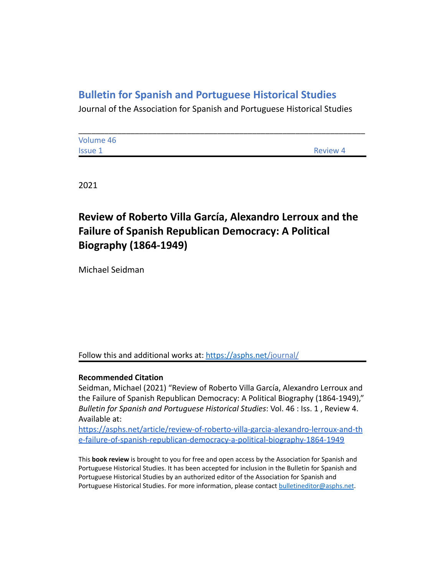## **Bulletin for Spanish and Portuguese Historical Studies**

Journal of the Association for Spanish and Portuguese Historical Studies

| Volume 46      |                 |
|----------------|-----------------|
| <b>Issue 1</b> | <b>Review 4</b> |

2021

## **Review of Roberto Villa García, Alexandro Lerroux and the Failure of Spanish Republican Democracy: A Political Biography (1864-1949)**

Michael Seidman

Follow this and additional works at: <https://asphs.net/journal/>

## **Recommended Citation**

Seidman, Michael (2021) "Review of Roberto Villa García, Alexandro Lerroux and the Failure of Spanish Republican Democracy: A Political Biography (1864-1949)," *Bulletin for Spanish and Portuguese Historical Studies*: Vol. 46 : Iss. 1 , Review 4. Available at:

[https://asphs.net/article/review-of-roberto-villa-garcia-alexandro-lerroux-and-th](https://asphs.net/article/review-of-roberto-villa-garcia-alexandro-lerroux-and-the-failure-of-spanish-republican-democracy-a-political-biography-1864-1949) [e-failure-of-spanish-republican-democracy-a-political-biography-1864-1949](https://asphs.net/article/review-of-roberto-villa-garcia-alexandro-lerroux-and-the-failure-of-spanish-republican-democracy-a-political-biography-1864-1949)

This **book review** is brought to you for free and open access by the Association for Spanish and Portuguese Historical Studies. It has been accepted for inclusion in the Bulletin for Spanish and Portuguese Historical Studies by an authorized editor of the Association for Spanish and Portuguese Historical Studies. For more information, please contact [bulletineditor@asphs.net](mailto:bulletineditor@asphs.net).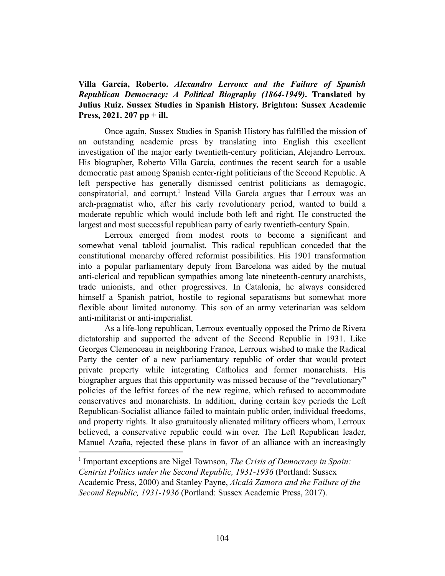**Villa García, Roberto.** *Alexandro Lerroux and the Failure of Spanish Republican Democracy: A Political Biography (1864-1949)***. Translated by Julius Ruiz. Sussex Studies in Spanish History. Brighton: Sussex Academic Press, 2021. 207 pp + ill.**

Once again, Sussex Studies in Spanish History has fulfilled the mission of an outstanding academic press by translating into English this excellent investigation of the major early twentieth-century politician, Alejandro Lerroux. His biographer, Roberto Villa García, continues the recent search for a usable democratic past among Spanish center-right politicians of the Second Republic. A left perspective has generally dismissed centrist politicians as demagogic, conspiratorial, and corrupt.<sup>1</sup> Instead Villa García argues that Lerroux was an arch-pragmatist who, after his early revolutionary period, wanted to build a moderate republic which would include both left and right. He constructed the largest and most successful republican party of early twentieth-century Spain.

Lerroux emerged from modest roots to become a significant and somewhat venal tabloid journalist. This radical republican conceded that the constitutional monarchy offered reformist possibilities. His 1901 transformation into a popular parliamentary deputy from Barcelona was aided by the mutual anti-clerical and republican sympathies among late nineteenth-century anarchists, trade unionists, and other progressives. In Catalonia, he always considered himself a Spanish patriot, hostile to regional separatisms but somewhat more flexible about limited autonomy. This son of an army veterinarian was seldom anti-militarist or anti-imperialist.

As a life-long republican, Lerroux eventually opposed the Primo de Rivera dictatorship and supported the advent of the Second Republic in 1931. Like Georges Clemenceau in neighboring France, Lerroux wished to make the Radical Party the center of a new parliamentary republic of order that would protect private property while integrating Catholics and former monarchists. His biographer argues that this opportunity was missed because of the "revolutionary" policies of the leftist forces of the new regime, which refused to accommodate conservatives and monarchists. In addition, during certain key periods the Left Republican-Socialist alliance failed to maintain public order, individual freedoms, and property rights. It also gratuitously alienated military officers whom, Lerroux believed, a conservative republic could win over. The Left Republican leader, Manuel Azaña, rejected these plans in favor of an alliance with an increasingly

<sup>1</sup> Important exceptions are Nigel Townson, *The Crisis of Democracy in Spain: Centrist Politics under the Second Republic, 1931-1936* (Portland: Sussex Academic Press, 2000) and Stanley Payne, *Alcalá Zamora and the Failure of the Second Republic, 1931-1936* (Portland: Sussex Academic Press, 2017).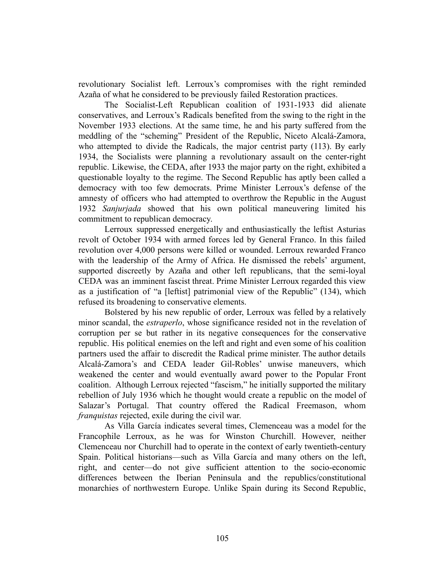revolutionary Socialist left. Lerroux's compromises with the right reminded Azaña of what he considered to be previously failed Restoration practices.

The Socialist-Left Republican coalition of 1931-1933 did alienate conservatives, and Lerroux's Radicals benefited from the swing to the right in the November 1933 elections. At the same time, he and his party suffered from the meddling of the "scheming" President of the Republic, Niceto Alcalá-Zamora, who attempted to divide the Radicals, the major centrist party (113). By early 1934, the Socialists were planning a revolutionary assault on the center-right republic. Likewise, the CEDA, after 1933 the major party on the right, exhibited a questionable loyalty to the regime. The Second Republic has aptly been called a democracy with too few democrats. Prime Minister Lerroux's defense of the amnesty of officers who had attempted to overthrow the Republic in the August 1932 *Sanjurjada* showed that his own political maneuvering limited his commitment to republican democracy.

Lerroux suppressed energetically and enthusiastically the leftist Asturias revolt of October 1934 with armed forces led by General Franco. In this failed revolution over 4,000 persons were killed or wounded. Lerroux rewarded Franco with the leadership of the Army of Africa. He dismissed the rebels' argument, supported discreetly by Azaña and other left republicans, that the semi-loyal CEDA was an imminent fascist threat. Prime Minister Lerroux regarded this view as a justification of "a [leftist] patrimonial view of the Republic" (134), which refused its broadening to conservative elements.

Bolstered by his new republic of order, Lerroux was felled by a relatively minor scandal, the *estraperlo*, whose significance resided not in the revelation of corruption per se but rather in its negative consequences for the conservative republic. His political enemies on the left and right and even some of his coalition partners used the affair to discredit the Radical prime minister. The author details Alcalá-Zamora's and CEDA leader Gil-Robles' unwise maneuvers, which weakened the center and would eventually award power to the Popular Front coalition. Although Lerroux rejected "fascism," he initially supported the military rebellion of July 1936 which he thought would create a republic on the model of Salazar's Portugal. That country offered the Radical Freemason, whom *franquistas* rejected, exile during the civil war.

As Villa García indicates several times, Clemenceau was a model for the Francophile Lerroux, as he was for Winston Churchill. However, neither Clemenceau nor Churchill had to operate in the context of early twentieth-century Spain. Political historians—such as Villa García and many others on the left, right, and center—do not give sufficient attention to the socio-economic differences between the Iberian Peninsula and the republics/constitutional monarchies of northwestern Europe. Unlike Spain during its Second Republic,